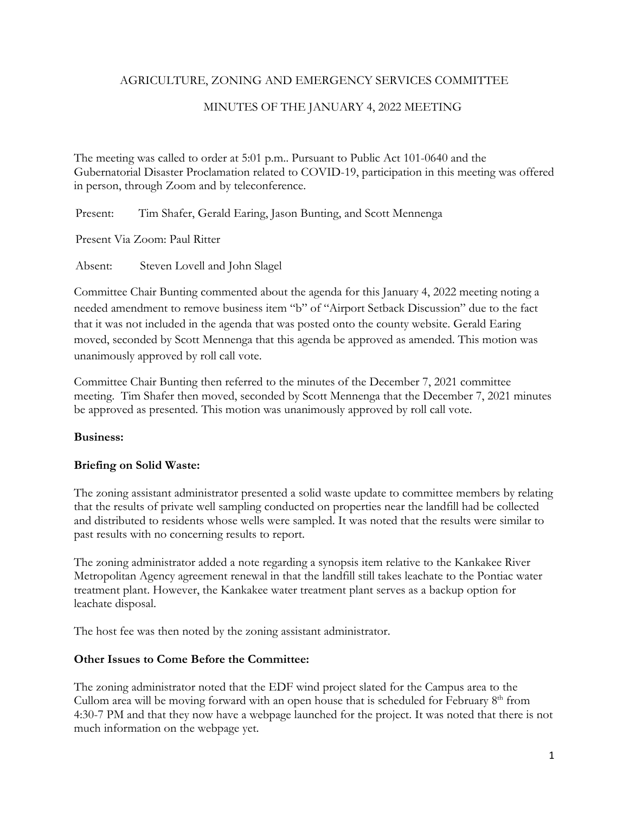### AGRICULTURE, ZONING AND EMERGENCY SERVICES COMMITTEE

# MINUTES OF THE JANUARY 4, 2022 MEETING

The meeting was called to order at 5:01 p.m.. Pursuant to Public Act 101-0640 and the Gubernatorial Disaster Proclamation related to COVID-19, participation in this meeting was offered in person, through Zoom and by teleconference.

Present: Tim Shafer, Gerald Earing, Jason Bunting, and Scott Mennenga

Present Via Zoom: Paul Ritter

Absent: Steven Lovell and John Slagel

Committee Chair Bunting commented about the agenda for this January 4, 2022 meeting noting a needed amendment to remove business item "b" of "Airport Setback Discussion" due to the fact that it was not included in the agenda that was posted onto the county website. Gerald Earing moved, seconded by Scott Mennenga that this agenda be approved as amended. This motion was unanimously approved by roll call vote.

Committee Chair Bunting then referred to the minutes of the December 7, 2021 committee meeting. Tim Shafer then moved, seconded by Scott Mennenga that the December 7, 2021 minutes be approved as presented. This motion was unanimously approved by roll call vote.

### **Business:**

### **Briefing on Solid Waste:**

The zoning assistant administrator presented a solid waste update to committee members by relating that the results of private well sampling conducted on properties near the landfill had be collected and distributed to residents whose wells were sampled. It was noted that the results were similar to past results with no concerning results to report.

The zoning administrator added a note regarding a synopsis item relative to the Kankakee River Metropolitan Agency agreement renewal in that the landfill still takes leachate to the Pontiac water treatment plant. However, the Kankakee water treatment plant serves as a backup option for leachate disposal.

The host fee was then noted by the zoning assistant administrator.

### **Other Issues to Come Before the Committee:**

The zoning administrator noted that the EDF wind project slated for the Campus area to the Cullom area will be moving forward with an open house that is scheduled for February  $8<sup>th</sup>$  from 4:30-7 PM and that they now have a webpage launched for the project. It was noted that there is not much information on the webpage yet.